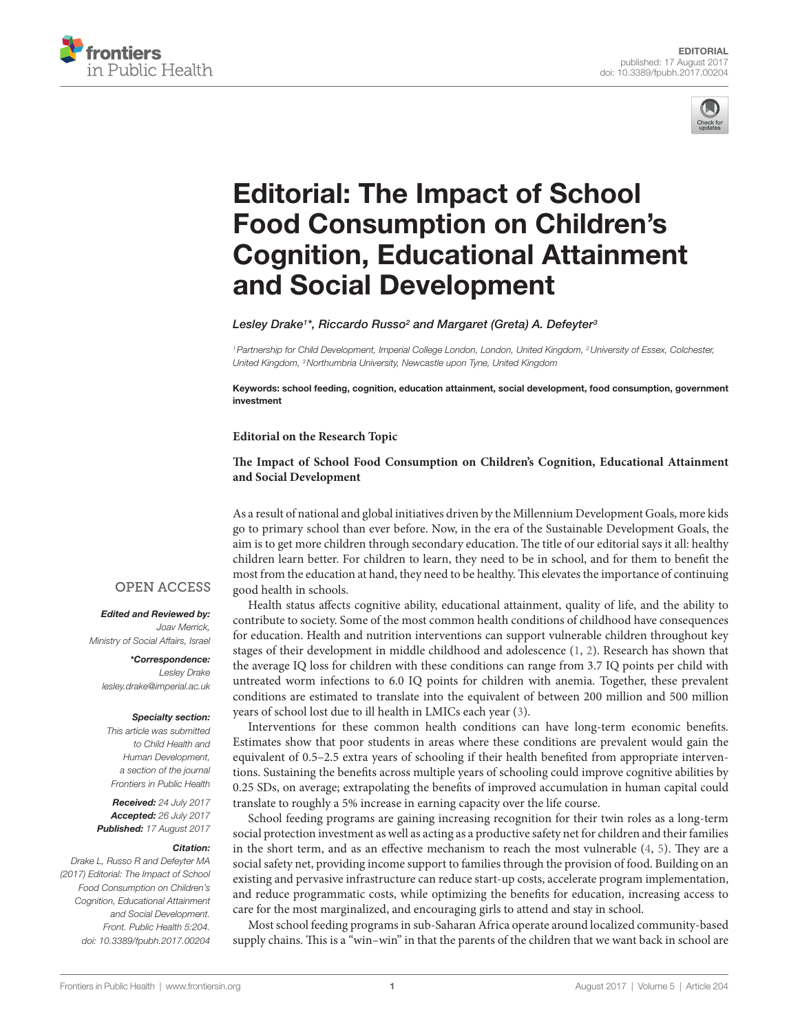



# **Editorial: The Impact of School** [Food Consumption on Children's](http://www.frontiersin.org/Journal/10.3389/fpubh.2017.00204/abstract)  [Cognition, Educational attainment](http://www.frontiersin.org/Journal/10.3389/fpubh.2017.00204/abstract)  and Social Development

## *[Lesley Drake](http://loop.frontiersin.org/people/164169)1 \*, [Riccardo Russo2](http://loop.frontiersin.org/people/123649) and [Margaret \(Greta\) A. Defeyter3](http://loop.frontiersin.org/people/71652)*

*1Partnership for Child Development, Imperial College London, London, United Kingdom, 2University of Essex, Colchester, United Kingdom, 3Northumbria University, Newcastle upon Tyne, United Kingdom*

Keywords: school feeding, cognition, education attainment, social development, food consumption, government investment

### **Editorial on the Research Topic**

## **[The Impact of School Food Consumption on Children's Cognition, Educational Attainment](http://journal.frontiersin.org/researchtopic/3010)  [and Social Development](http://journal.frontiersin.org/researchtopic/3010)**

As a result of national and global initiatives driven by the Millennium Development Goals, more kids go to primary school than ever before. Now, in the era of the Sustainable Development Goals, the aim is to get more children through secondary education. The title of our editorial says it all: healthy children learn better. For children to learn, they need to be in school, and for them to benefit the most from the education at hand, they need to be healthy. This elevates the importance of continuing good health in schools.

Health status affects cognitive ability, educational attainment, quality of life, and the ability to contribute to society. Some of the most common health conditions of childhood have consequences for education. Health and nutrition interventions can support vulnerable children throughout key stages of their development in middle childhood and adolescence [\(1,](#page-1-0) [2](#page-1-1)). Research has shown that the average IQ loss for children with these conditions can range from 3.7 IQ points per child with untreated worm infections to 6.0 IQ points for children with anemia. Together, these prevalent conditions are estimated to translate into the equivalent of between 200 million and 500 million years of school lost due to ill health in LMICs each year [\(3](#page-1-2)).

Interventions for these common health conditions can have long-term economic benefits. Estimates show that poor students in areas where these conditions are prevalent would gain the equivalent of 0.5–2.5 extra years of schooling if their health benefited from appropriate interventions. Sustaining the benefits across multiple years of schooling could improve cognitive abilities by 0.25 SDs, on average; extrapolating the benefits of improved accumulation in human capital could translate to roughly a 5% increase in earning capacity over the life course.

School feeding programs are gaining increasing recognition for their twin roles as a long-term social protection investment as well as acting as a productive safety net for children and their families in the short term, and as an effective mechanism to reach the most vulnerable ([4](#page-1-3), [5](#page-1-4)). They are a social safety net, providing income support to families through the provision of food. Building on an existing and pervasive infrastructure can reduce start-up costs, accelerate program implementation, and reduce programmatic costs, while optimizing the benefits for education, increasing access to care for the most marginalized, and encouraging girls to attend and stay in school.

Most school feeding programs in sub-Saharan Africa operate around localized community-based supply chains. This is a "win–win" in that the parents of the children that we want back in school are

## **OPEN ACCESS**

*Edited and Reviewed by: Joav Merrick, Ministry of Social Affairs, Israel*

> *\*Correspondence: Lesley Drake*

> *[lesley.drake@imperial.ac.uk](mailto:lesley.drake@imperial.ac.uk)*

#### *Specialty section:*

*This article was submitted to Child Health and Human Development, a section of the journal Frontiers in Public Health*

*Received: 24 July 2017 Accepted: 26 July 2017 Published: 17 August 2017*

#### *Citation:*

*Drake L, Russo R and Defeyter MA (2017) Editorial: The Impact of School Food Consumption on Children's Cognition, Educational Attainment and Social Development. Front. Public Health 5:204. doi: [10.3389/fpubh.2017.00204](https://doi.org/10.3389/fpubh.2017.00204)*